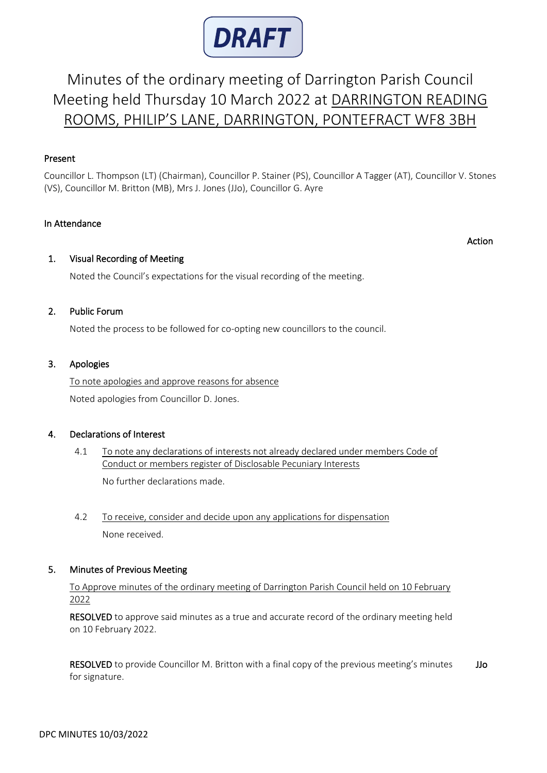

# Minutes of the ordinary meeting of Darrington Parish Council Meeting held Thursday 10 March 2022 at DARRINGTON READING ROOMS, PHILIP'S LANE, DARRINGTON, PONTEFRACT WF8 3BH

# Present

Councillor L. Thompson (LT) (Chairman), Councillor P. Stainer (PS), Councillor A Tagger (AT), Councillor V. Stones (VS), Councillor M. Britton (MB), Mrs J. Jones (JJo), Councillor G. Ayre

#### In Attendance

Action

#### 1. Visual Recording of Meeting

Noted the Council's expectations for the visual recording of the meeting.

#### 2. Public Forum

Noted the process to be followed for co-opting new councillors to the council.

#### 3. Apologies

 To note apologies and approve reasons for absence Noted apologies from Councillor D. Jones.

#### 4. Declarations of Interest

# 4.1 To note any declarations of interests not already declared under members Code of Conduct or members register of Disclosable Pecuniary Interests

No further declarations made.

 4.2 To receive, consider and decide upon any applications for dispensation None received.

# 5. Minutes of Previous Meeting

 To Approve minutes of the ordinary meeting of Darrington Parish Council held on 10 February 2022

RESOLVED to approve said minutes as a true and accurate record of the ordinary meeting held on 10 February 2022.

RESOLVED to provide Councillor M. Britton with a final copy of the previous meeting's minutes for signature. JJo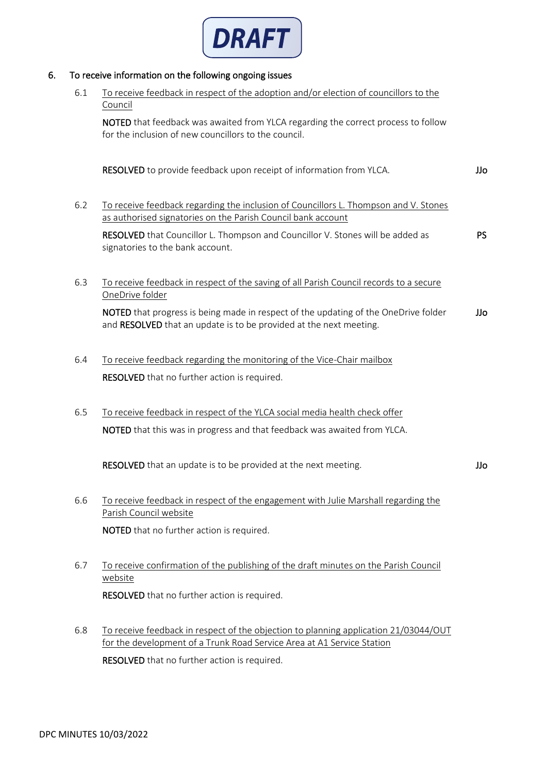

# 6. To receive information on the following ongoing issues

| 6.1 | To receive feedback in respect of the adoption and/or election of councillors to the<br>Council                                                                |     |  |  |  |  |
|-----|----------------------------------------------------------------------------------------------------------------------------------------------------------------|-----|--|--|--|--|
|     | NOTED that feedback was awaited from YLCA regarding the correct process to follow<br>for the inclusion of new councillors to the council.                      |     |  |  |  |  |
|     | RESOLVED to provide feedback upon receipt of information from YLCA.                                                                                            | JJo |  |  |  |  |
| 6.2 | To receive feedback regarding the inclusion of Councillors L. Thompson and V. Stones<br>as authorised signatories on the Parish Council bank account           |     |  |  |  |  |
|     | RESOLVED that Councillor L. Thompson and Councillor V. Stones will be added as<br>signatories to the bank account.                                             | PS. |  |  |  |  |
| 6.3 | To receive feedback in respect of the saving of all Parish Council records to a secure<br>OneDrive folder                                                      |     |  |  |  |  |
|     | NOTED that progress is being made in respect of the updating of the OneDrive folder<br>and RESOLVED that an update is to be provided at the next meeting.      | JJo |  |  |  |  |
| 6.4 | To receive feedback regarding the monitoring of the Vice-Chair mailbox                                                                                         |     |  |  |  |  |
|     | RESOLVED that no further action is required.                                                                                                                   |     |  |  |  |  |
| 6.5 | To receive feedback in respect of the YLCA social media health check offer                                                                                     |     |  |  |  |  |
|     | NOTED that this was in progress and that feedback was awaited from YLCA.                                                                                       |     |  |  |  |  |
|     | RESOLVED that an update is to be provided at the next meeting.                                                                                                 | JJo |  |  |  |  |
| 6.6 | To receive feedback in respect of the engagement with Julie Marshall regarding the<br>Parish Council website                                                   |     |  |  |  |  |
|     | NOTED that no further action is required.                                                                                                                      |     |  |  |  |  |
| 6.7 | To receive confirmation of the publishing of the draft minutes on the Parish Council<br>website                                                                |     |  |  |  |  |
|     | RESOLVED that no further action is required.                                                                                                                   |     |  |  |  |  |
| 6.8 | To receive feedback in respect of the objection to planning application 21/03044/OUT<br>for the development of a Trunk Road Service Area at A1 Service Station |     |  |  |  |  |
|     | RESOLVED that no further action is required.                                                                                                                   |     |  |  |  |  |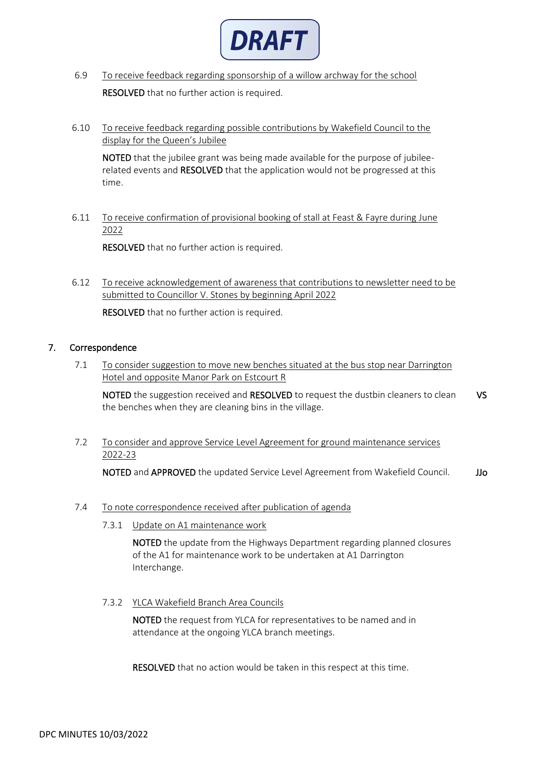

- 6.9 To receive feedback regarding sponsorship of a willow archway for the school **RESOLVED** that no further action is required.
- 6.10 To receive feedback regarding possible contributions by Wakefield Council to the display for the Queen's Jubilee

 NOTED that the jubilee grant was being made available for the purpose of jubileerelated events and RESOLVED that the application would not be progressed at this time.

 6.11 To receive confirmation of provisional booking of stall at Feast & Fayre during June 2022

RESOLVED that no further action is required.

 6.12 To receive acknowledgement of awareness that contributions to newsletter need to be submitted to Councillor V. Stones by beginning April 2022

RESOLVED that no further action is required.

# 7. Correspondence

 7.1 To consider suggestion to move new benches situated at the bus stop near Darrington Hotel and opposite Manor Park on Estcourt R

NOTED the suggestion received and RESOLVED to request the dustbin cleaners to clean the benches when they are cleaning bins in the village. VS

 7.2 To consider and approve Service Level Agreement for ground maintenance services 2022-23

NOTED and APPROVED the updated Service Level Agreement from Wakefield Council. JJo

#### 7.4 To note correspondence received after publication of agenda

7.3.1 Update on A1 maintenance work

 NOTED the update from the Highways Department regarding planned closures of the A1 for maintenance work to be undertaken at A1 Darrington Interchange.

#### 7.3.2 YLCA Wakefield Branch Area Councils

 NOTED the request from YLCA for representatives to be named and in attendance at the ongoing YLCA branch meetings.

RESOLVED that no action would be taken in this respect at this time.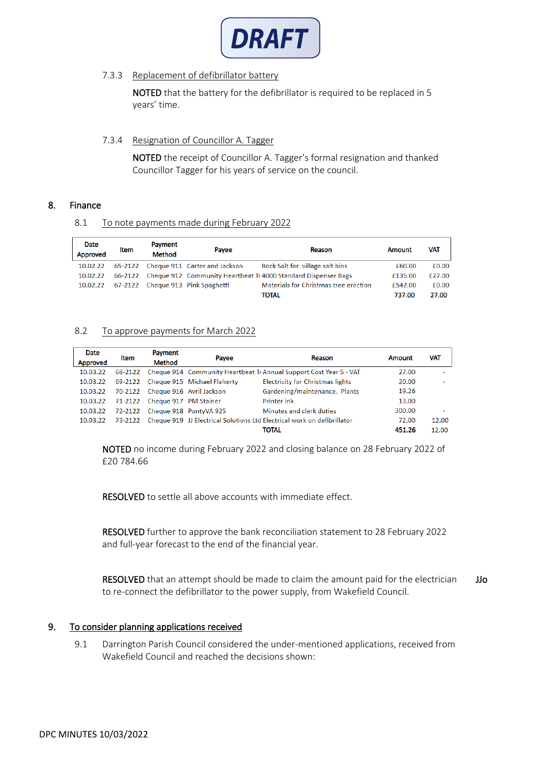

# 7.3.3 Replacement of defibrillator battery

 NOTED that the battery for the defibrillator is required to be replaced in 5 years' time.

#### 7.3.4 Resignation of Councillor A. Tagger

 NOTED the receipt of Councillor A. Tagger's formal resignation and thanked Councillor Tagger for his years of service on the council.

#### 8. Finance

8.1 To note payments made during February 2022

| Date     | <b>Item</b> | Payment       | Payee                         | Reason                                                         | Amount  | <b>VAT</b> |
|----------|-------------|---------------|-------------------------------|----------------------------------------------------------------|---------|------------|
| Approved |             | <b>Method</b> |                               |                                                                |         |            |
| 10.02.22 | 65-2122     |               | Cheque 911 Carter and Jackson | Rock Salt for village salt bins                                | £60.00  | £0.00      |
| 10.02.22 | 66-2122     |               |                               | Cheque 912 Community Heartbeat Tr 4000 Standard Dispenser Bags | £135.00 | £27.00     |
| 10.02.22 | 67-2122     |               | Cheque 913 Pink Spaghetti     | Materials for Christmas tree erection                          | £542.00 | £0.00      |
|          |             |               |                               | TOTAL                                                          | 737.00  | 27.00      |

#### 8.2 To approve payments for March 2022

| <b>Date</b>     |         | Payment                          |                                     |                                                                         |        |       |
|-----------------|---------|----------------------------------|-------------------------------------|-------------------------------------------------------------------------|--------|-------|
| <b>Approved</b> | Item    | <b>Method</b>                    | Payee                               | Reason                                                                  | Amount | VAT   |
| 10.03.22        | 68-2122 |                                  |                                     | Cheque 914 Community Heartbeat Tr Annual Support Cost Year 5 - VAT      | 27.00  | ۰     |
| 10.03.22        |         |                                  | 69-2122 Cheque 915 Michael Flaherty | <b>Electricity for Christmas lights</b>                                 | 20.00  |       |
| 10.03.22        |         | 70-2122 Cheque 916 Avril Jackson |                                     | Gardening/maintenance. Plants                                           | 19.26  |       |
| 10.03.22        |         | 71-2122 Cheque 917 PM Stainer    |                                     | <b>Printer ink</b>                                                      | 13.00  |       |
| 10.03.22        | 72-2122 |                                  | Cheque 918 PontyVA 925              | Minutes and clerk duties                                                | 300.00 | ۰     |
| 10.03.22        | 73-2122 |                                  |                                     | Cheque 919 JJ Electrical Solutions Ltd Electrical work on defibrillator | 72.00  | 12.00 |
|                 |         |                                  |                                     | TOTAL                                                                   | 451.26 | 12.00 |

 NOTED no income during February 2022 and closing balance on 28 February 2022 of £20 784.66

RESOLVED to settle all above accounts with immediate effect.

 RESOLVED further to approve the bank reconciliation statement to 28 February 2022 and full-year forecast to the end of the financial year.

 RESOLVED that an attempt should be made to claim the amount paid for the electrician to re-connect the defibrillator to the power supply, from Wakefield Council. JJo

# 9. To consider planning applications received

 9.1 Darrington Parish Council considered the under-mentioned applications, received from Wakefield Council and reached the decisions shown: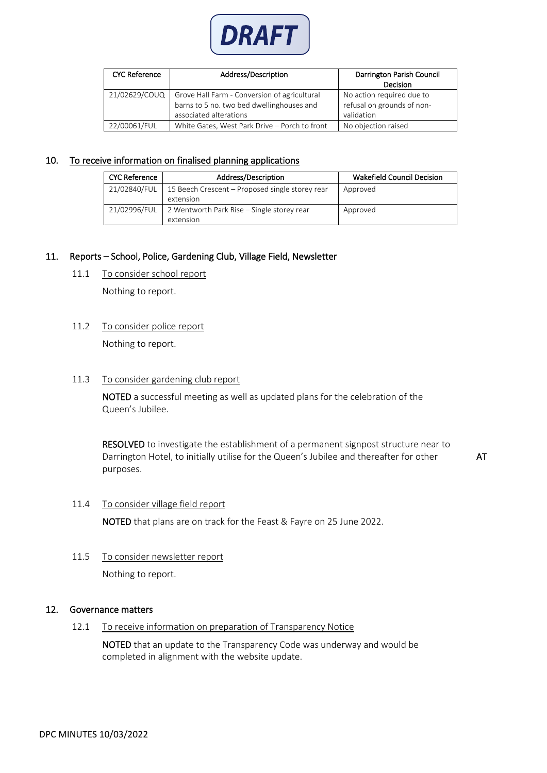

| <b>CYC Reference</b> | Address/Description                                                                                                 | Darrington Parish Council<br><b>Decision</b>                          |
|----------------------|---------------------------------------------------------------------------------------------------------------------|-----------------------------------------------------------------------|
| 21/02629/COUQ        | Grove Hall Farm - Conversion of agricultural<br>barns to 5 no. two bed dwellinghouses and<br>associated alterations | No action required due to<br>refusal on grounds of non-<br>validation |
| 22/00061/FUL         | White Gates, West Park Drive - Porch to front                                                                       | No objection raised                                                   |

#### 10. To receive information on finalised planning applications

| <b>CYC Reference</b> | Address/Description                                     | <b>Wakefield Council Decision</b> |
|----------------------|---------------------------------------------------------|-----------------------------------|
| 21/02840/FUL         | 15 Beech Crescent – Proposed single storey rear         | Approved                          |
| 21/02996/FUL         | extension<br>2 Wentworth Park Rise – Single storey rear | Approved                          |
|                      | extension                                               |                                   |

#### 11. Reports – School, Police, Gardening Club, Village Field, Newsletter

11.1 To consider school report

Nothing to report.

# 11.2 To consider police report

Nothing to report.

### 11.3 To consider gardening club report

 NOTED a successful meeting as well as updated plans for the celebration of the Queen's Jubilee.

 RESOLVED to investigate the establishment of a permanent signpost structure near to Darrington Hotel, to initially utilise for the Queen's Jubilee and thereafter for other purposes.

AT

#### 11.4 To consider village field report

NOTED that plans are on track for the Feast & Fayre on 25 June 2022.

11.5 To consider newsletter report

Nothing to report.

# 12. Governance matters

12.1 To receive information on preparation of Transparency Notice

 NOTED that an update to the Transparency Code was underway and would be completed in alignment with the website update.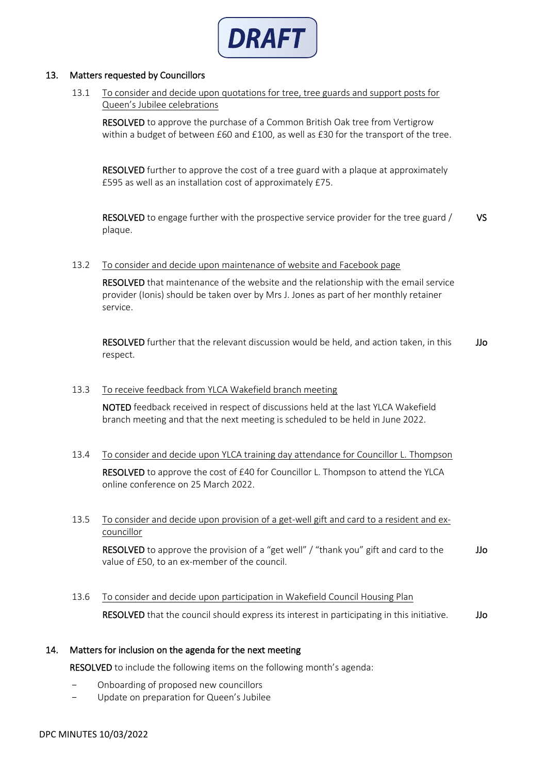

### 13. Matters requested by Councillors

 13.1 To consider and decide upon quotations for tree, tree guards and support posts for Queen's Jubilee celebrations

 RESOLVED to approve the purchase of a Common British Oak tree from Vertigrow within a budget of between £60 and £100, as well as £30 for the transport of the tree.

 RESOLVED further to approve the cost of a tree guard with a plaque at approximately £595 as well as an installation cost of approximately £75.

 RESOLVED to engage further with the prospective service provider for the tree guard / plaque. VS

#### 13.2 To consider and decide upon maintenance of website and Facebook page

 RESOLVED that maintenance of the website and the relationship with the email service provider (Ionis) should be taken over by Mrs J. Jones as part of her monthly retainer service.

 RESOLVED further that the relevant discussion would be held, and action taken, in this respect. JJo

#### 13.3 To receive feedback from YLCA Wakefield branch meeting

 NOTED feedback received in respect of discussions held at the last YLCA Wakefield branch meeting and that the next meeting is scheduled to be held in June 2022.

13.4 To consider and decide upon YLCA training day attendance for Councillor L. Thompson

RESOLVED to approve the cost of £40 for Councillor L. Thompson to attend the YLCA online conference on 25 March 2022.

#### 13.5 To consider and decide upon provision of a get-well gift and card to a resident and ex**councillor**

RESOLVED to approve the provision of a "get well" / "thank you" gift and card to the value of £50, to an ex-member of the council. JJo

 13.6 To consider and decide upon participation in Wakefield Council Housing Plan RESOLVED that the council should express its interest in participating in this initiative. JJo

# 14. Matters for inclusion on the agenda for the next meeting

RESOLVED to include the following items on the following month's agenda:

- Onboarding of proposed new councillors
- Update on preparation for Queen's Jubilee